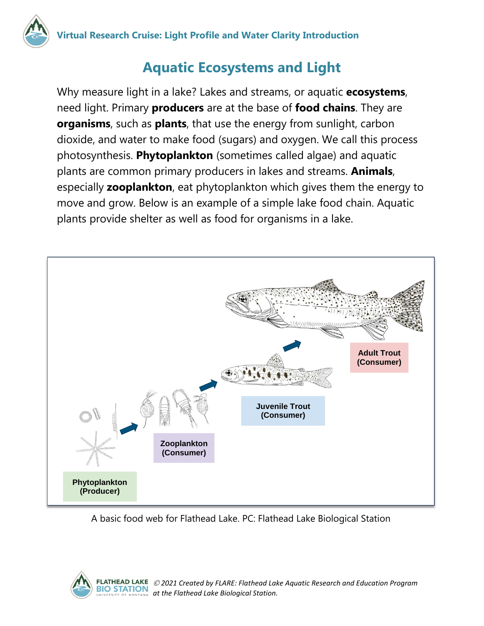## **Aquatic Ecosystems and Light**

Why measure light in a lake? Lakes and streams, or aquatic **ecosystems**, need light. Primary **producers** are at the base of **food chains**. They are **organisms**, such as **plants**, that use the energy from sunlight, carbon dioxide, and water to make food (sugars) and oxygen. We call this process photosynthesis. **Phytoplankton** (sometimes called algae) and aquatic plants are common primary producers in lakes and streams. **Animals**, especially **zooplankton**, eat phytoplankton which gives them the energy to move and grow. Below is an example of a simple lake food chain. Aquatic plants provide shelter as well as food for organisms in a lake.



A basic food web for Flathead Lake. PC: Flathead Lake Biological Station